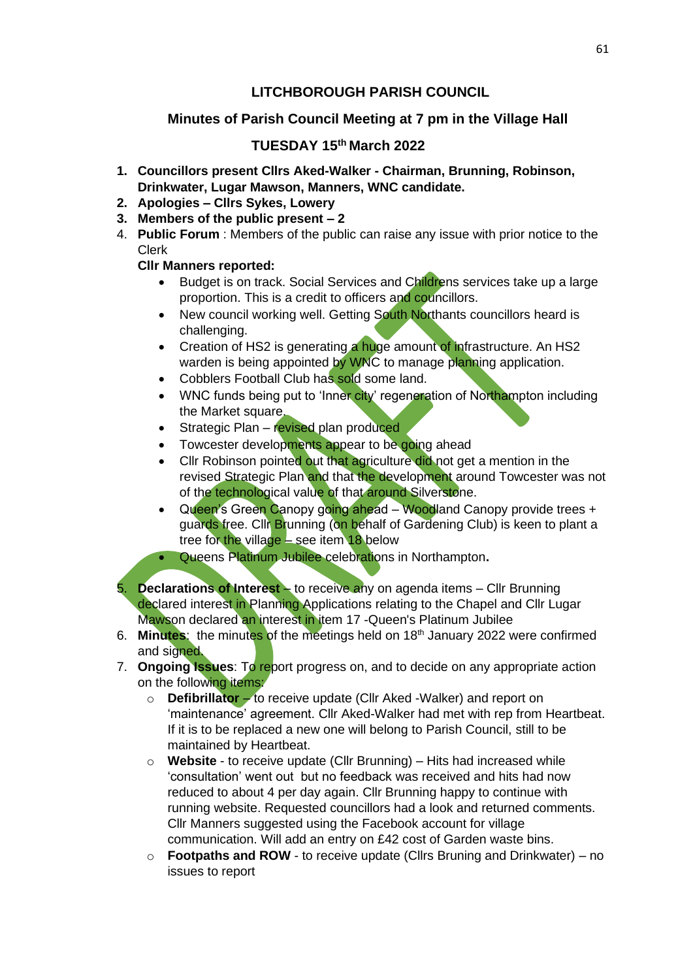# **LITCHBOROUGH PARISH COUNCIL**

# **Minutes of Parish Council Meeting at 7 pm in the Village Hall**

## **TUESDAY 15 th March 2022**

- **1. Councillors present Cllrs Aked-Walker - Chairman, Brunning, Robinson, Drinkwater, Lugar Mawson, Manners, WNC candidate.**
- **2. Apologies – Cllrs Sykes, Lowery**
- **3. Members of the public present – 2**
- 4. **Public Forum** : Members of the public can raise any issue with prior notice to the Clerk

### **Cllr Manners reported:**

- Budget is on track. Social Services and Childrens services take up a large proportion. This is a credit to officers and councillors.
- New council working well. Getting South Northants councillors heard is challenging.
- Creation of HS2 is generating a huge amount of infrastructure. An HS2 warden is being appointed by WNC to manage planning application.
- Cobblers Football Club has sold some land.
- WNC funds being put to 'Inner city' regeneration of Northampton including the Market square.
- Strategic Plan revised plan produced
- Towcester developments appear to be going ahead
- Cllr Robinson pointed out that agriculture did not get a mention in the revised Strategic Plan and that the development around Towcester was not of the technological value of that around Silverstone.
- Queen's Green Canopy going ahead Woodland Canopy provide trees + guards free. Cllr Brunning (on behalf of Gardening Club) is keen to plant a tree for the village  $-$  see item 18 below
- Queens Platinum Jubilee celebrations in Northampton**.**
- 5. **Declarations of Interest** to receive any on agenda items Cllr Brunning declared interest in Planning Applications relating to the Chapel and Cllr Lugar Mawson declared an interest in item 17 -Queen's Platinum Jubilee
- 6. **Minutes**: the minutes of the meetings held on 18th January 2022 were confirmed and signed.
- 7. **Ongoing Issues**: To report progress on, and to decide on any appropriate action on the following items:
	- o **Defibrillator** to receive update (Cllr Aked -Walker) and report on 'maintenance' agreement. Cllr Aked-Walker had met with rep from Heartbeat. If it is to be replaced a new one will belong to Parish Council, still to be maintained by Heartbeat.
	- o **Website** to receive update (Cllr Brunning) Hits had increased while 'consultation' went out but no feedback was received and hits had now reduced to about 4 per day again. Cllr Brunning happy to continue with running website. Requested councillors had a look and returned comments. Cllr Manners suggested using the Facebook account for village communication. Will add an entry on £42 cost of Garden waste bins.
	- o **Footpaths and ROW** to receive update (Cllrs Bruning and Drinkwater) no issues to report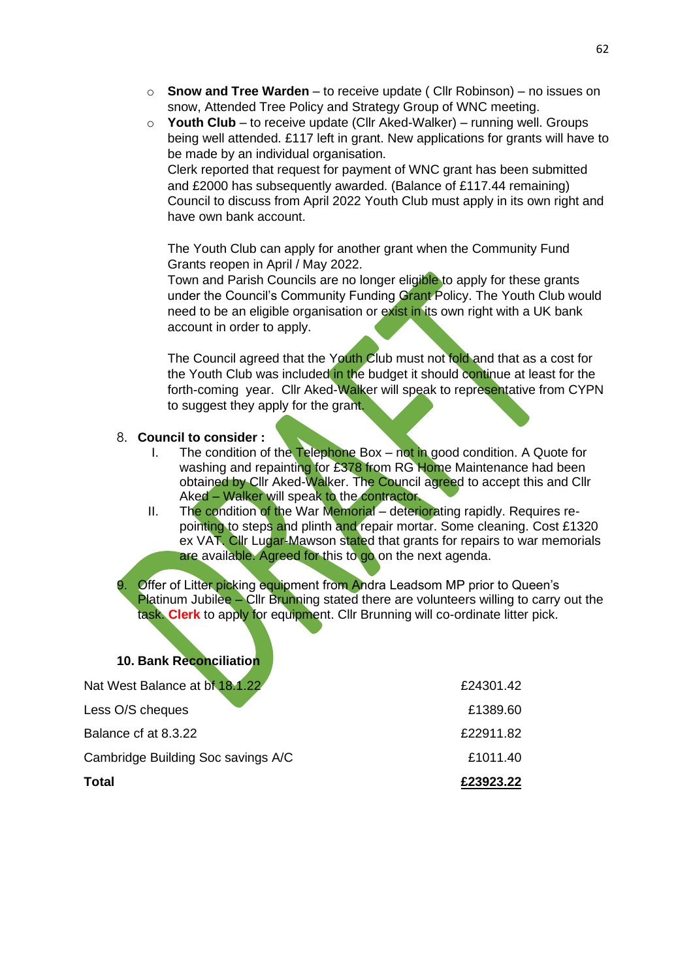- o **Snow and Tree Warden** to receive update ( Cllr Robinson) no issues on snow, Attended Tree Policy and Strategy Group of WNC meeting.
- o **Youth Club** to receive update (Cllr Aked-Walker) running well. Groups being well attended. £117 left in grant. New applications for grants will have to be made by an individual organisation.

Clerk reported that request for payment of WNC grant has been submitted and £2000 has subsequently awarded. (Balance of £117.44 remaining) Council to discuss from April 2022 Youth Club must apply in its own right and have own bank account.

The Youth Club can apply for another grant when the Community Fund Grants reopen in April / May 2022.

Town and Parish Councils are no longer eligible to apply for these grants under the Council's Community Funding Grant Policy. The Youth Club would need to be an eligible organisation or exist in its own right with a UK bank account in order to apply.

The Council agreed that the Youth Club must not fold and that as a cost for the Youth Club was included in the budget it should continue at least for the forth-coming year. Cllr Aked-Walker will speak to representative from CYPN to suggest they apply for the grant.

#### 8. **Council to consider :**

- I. The condition of the Telephone Box not in good condition. A Quote for washing and repainting for £378 from RG Home Maintenance had been obtained by Cllr Aked-Walker. The Council agreed to accept this and Cllr Aked – Walker will speak to the contractor.
- II. The condition of the War Memorial deteriorating rapidly. Requires repointing to steps and plinth and repair mortar. Some cleaning. Cost £1320 ex VAT. Cllr Lugar-Mawson stated that grants for repairs to war memorials are available. Agreed for this to go on the next agenda.

**Offer of Litter picking equipment from Andra Leadsom MP prior to Queen's** Platinum Jubilee – Cllr Brunning stated there are volunteers willing to carry out the task. **Clerk** to apply for equipment. Cllr Brunning will co-ordinate litter pick.

### **10. Bank Reconciliation**

| Total                              | £23923.22 |
|------------------------------------|-----------|
| Cambridge Building Soc savings A/C | £1011.40  |
| Balance of at 8.3.22               | £22911.82 |
| Less O/S cheques                   | £1389.60  |
| Nat West Balance at bf 18.1.22     | £24301.42 |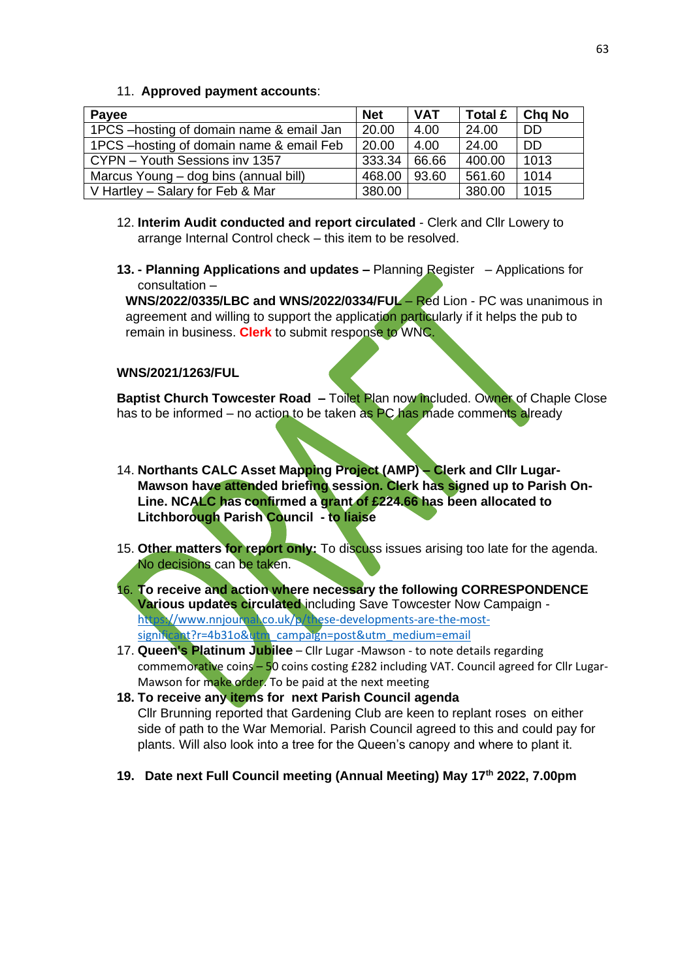#### 11. **Approved payment accounts**:

| Payee                                     | <b>Net</b> | <b>VAT</b> | Total £ | <b>Cha No</b> |
|-------------------------------------------|------------|------------|---------|---------------|
| 1PCS - hosting of domain name & email Jan | 20.00      | 4.00       | 24.00   | DD.           |
| 1PCS - hosting of domain name & email Feb | 20.00      | 4.00       | 24.00   | <b>DD</b>     |
| CYPN - Youth Sessions inv 1357            | 333.34     | 66.66      | 400.00  | 1013          |
| Marcus Young – dog bins (annual bill)     | 468.00     | 93.60      | 561.60  | 1014          |
| V Hartley – Salary for Feb & Mar          | 380.00     |            | 380.00  | 1015          |

- 12. **Interim Audit conducted and report circulated** Clerk and Cllr Lowery to arrange Internal Control check – this item to be resolved.
- **13. - Planning Applications and updates –** Planning Register Applications for consultation –

**WNS/2022/0335/LBC and WNS/2022/0334/FUL** – Red Lion - PC was unanimous in agreement and willing to support the application particularly if it helps the pub to remain in business. **Clerk** to submit response to WNC.

#### **WNS/2021/1263/FUL**

**Baptist Church Towcester Road –** Toilet Plan now included. Owner of Chaple Close has to be informed – no action to be taken as PC has made comments already

- 14. **Northants CALC Asset Mapping Project (AMP) – Clerk and Cllr Lugar-Mawson have attended briefing session. Clerk has signed up to Parish On-Line. NCALC has confirmed a grant of £224.66 has been allocated to Litchborough Parish Council - to liaise**
- 15. **Other matters for report only:** To discuss issues arising too late for the agenda. No decisions can be taken.
- 16. **To receive and action where necessary the following CORRESPONDENCE Various updates circulated** including Save Towcester Now Campaign [https://www.nnjournal.co.uk/p/these-developments-are-the-most](https://www.nnjournal.co.uk/p/these-developments-are-the-most-significant?r=4b31o&utm_campaign=post&utm_medium=email)[significant?r=4b31o&utm\\_campaign=post&utm\\_medium=email](https://www.nnjournal.co.uk/p/these-developments-are-the-most-significant?r=4b31o&utm_campaign=post&utm_medium=email)
- 17. **Queen's Platinum Jubilee** Cllr Lugar -Mawson to note details regarding commemorative coins – 50 coins costing £282 including VAT. Council agreed for Cllr Lugar-Mawson for make order. To be paid at the next meeting
- **18. To receive any items for next Parish Council agenda** Cllr Brunning reported that Gardening Club are keen to replant roses on either side of path to the War Memorial. Parish Council agreed to this and could pay for plants. Will also look into a tree for the Queen's canopy and where to plant it.
- **19. Date next Full Council meeting (Annual Meeting) May 17th 2022, 7.00pm**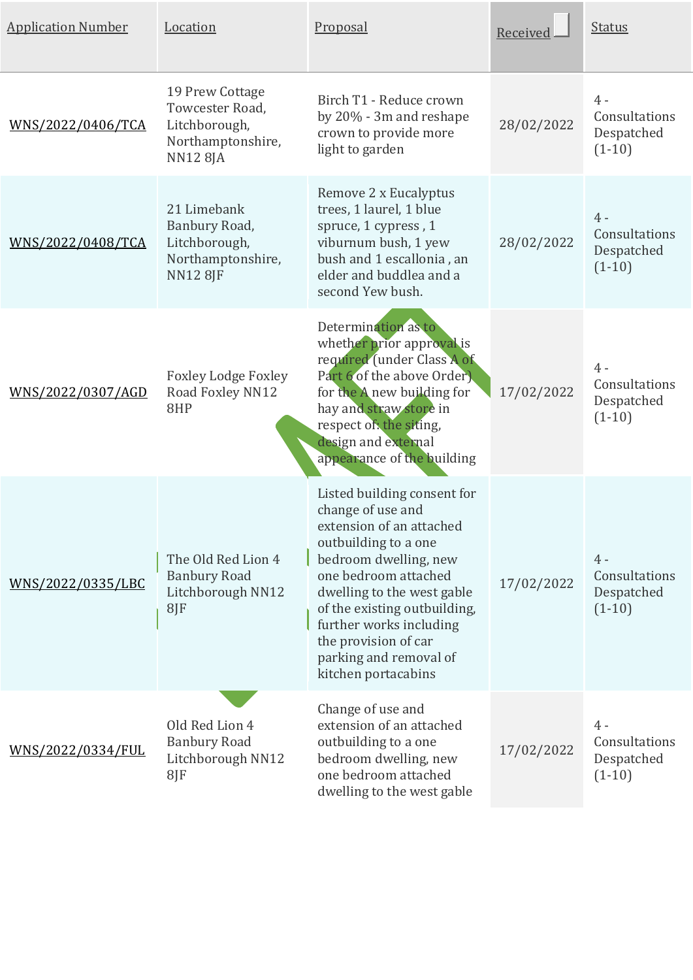| <b>Application Number</b> | Location                                                                                    | Proposal                                                                                                                                                                                                                                                                                                                | Received   | <b>Status</b>                                    |
|---------------------------|---------------------------------------------------------------------------------------------|-------------------------------------------------------------------------------------------------------------------------------------------------------------------------------------------------------------------------------------------------------------------------------------------------------------------------|------------|--------------------------------------------------|
| WNS/2022/0406/TCA         | 19 Prew Cottage<br>Towcester Road,<br>Litchborough,<br>Northamptonshire,<br><b>NN12 8JA</b> | Birch T1 - Reduce crown<br>by 20% - 3m and reshape<br>crown to provide more<br>light to garden                                                                                                                                                                                                                          | 28/02/2022 | $4 -$<br>Consultations<br>Despatched<br>$(1-10)$ |
| <u>WNS/2022/0408/TCA</u>  | 21 Limebank<br>Banbury Road,<br>Litchborough,<br>Northamptonshire,<br><b>NN12 8JF</b>       | Remove 2 x Eucalyptus<br>trees, 1 laurel, 1 blue<br>spruce, 1 cypress, 1<br>viburnum bush, 1 yew<br>bush and 1 escallonia, an<br>elder and buddlea and a<br>second Yew bush.                                                                                                                                            | 28/02/2022 | $4 -$<br>Consultations<br>Despatched<br>$(1-10)$ |
| <u>WNS/2022/0307/AGD</u>  | <b>Foxley Lodge Foxley</b><br>Road Foxley NN12<br>8HP                                       | Determination as to<br>whether prior approval is<br>required (under Class A of<br>Part 6 of the above Order).<br>for the A new building for<br>hay and straw store in<br>respect of the siting,<br>design and external<br>appearance of the building                                                                    | 17/02/2022 | $4 -$<br>Consultations<br>Despatched<br>$(1-10)$ |
| WNS/2022/0335/LBC         | The Old Red Lion 4<br><b>Banbury Road</b><br>Litchborough NN12<br>8JF                       | Listed building consent for<br>change of use and<br>extension of an attached<br>outbuilding to a one<br>bedroom dwelling, new<br>one bedroom attached<br>dwelling to the west gable<br>of the existing outbuilding,<br>further works including<br>the provision of car<br>parking and removal of<br>kitchen portacabins | 17/02/2022 | $4 -$<br>Consultations<br>Despatched<br>$(1-10)$ |
| <u>WNS/2022/0334/FUL</u>  | Old Red Lion 4<br><b>Banbury Road</b><br>Litchborough NN12<br>8JF                           | Change of use and<br>extension of an attached<br>outbuilding to a one<br>bedroom dwelling, new<br>one bedroom attached<br>dwelling to the west gable                                                                                                                                                                    | 17/02/2022 | 4 -<br>Consultations<br>Despatched<br>$(1-10)$   |